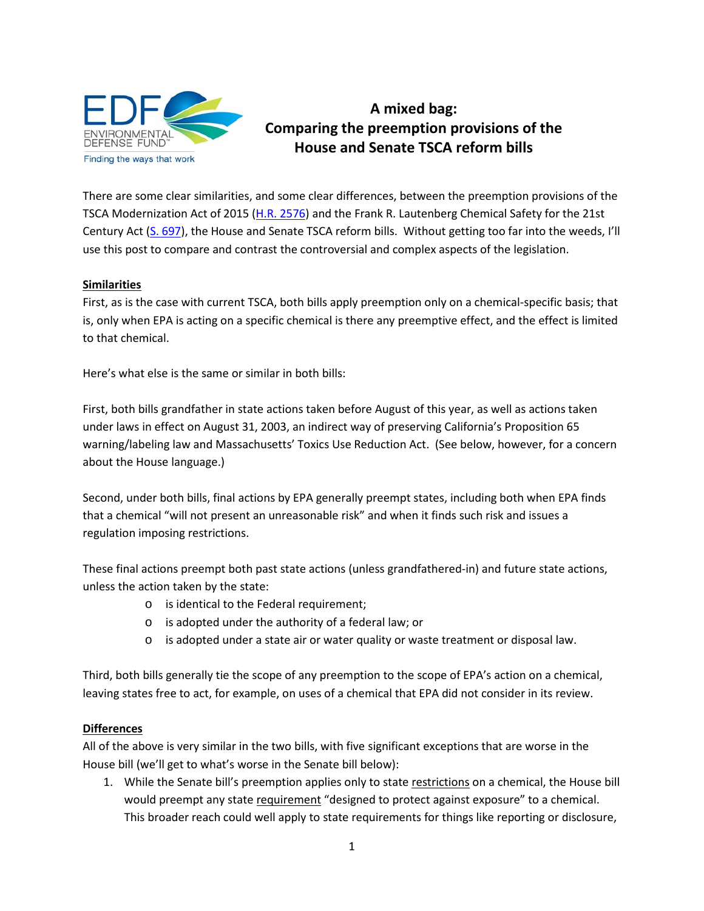

## **A mixed bag: Comparing the preemption provisions of the House and Senate TSCA reform bills**

There are some clear similarities, and some clear differences, between the preemption provisions of the TSCA Modernization Act of 2015 [\(H.R. 2576\)](https://www.congress.gov/bill/114th-congress/house-bill/2576) and the Frank R. Lautenberg Chemical Safety for the 21st Century Act [\(S. 697\)](https://www.congress.gov/bill/114th-congress/senate-bill/697), the House and Senate TSCA reform bills. Without getting too far into the weeds, I'll use this post to compare and contrast the controversial and complex aspects of the legislation.

## **Similarities**

First, as is the case with current TSCA, both bills apply preemption only on a chemical-specific basis; that is, only when EPA is acting on a specific chemical is there any preemptive effect, and the effect is limited to that chemical.

Here's what else is the same or similar in both bills:

First, both bills grandfather in state actions taken before August of this year, as well as actions taken under laws in effect on August 31, 2003, an indirect way of preserving California's Proposition 65 warning/labeling law and Massachusetts' Toxics Use Reduction Act. (See below, however, for a concern about the House language.)

Second, under both bills, final actions by EPA generally preempt states, including both when EPA finds that a chemical "will not present an unreasonable risk" and when it finds such risk and issues a regulation imposing restrictions.

These final actions preempt both past state actions (unless grandfathered-in) and future state actions, unless the action taken by the state:

- o is identical to the Federal requirement;
- o is adopted under the authority of a federal law; or
- $\circ$  is adopted under a state air or water quality or waste treatment or disposal law.

Third, both bills generally tie the scope of any preemption to the scope of EPA's action on a chemical, leaving states free to act, for example, on uses of a chemical that EPA did not consider in its review.

## **Differences**

All of the above is very similar in the two bills, with five significant exceptions that are worse in the House bill (we'll get to what's worse in the Senate bill below):

1. While the Senate bill's preemption applies only to state restrictions on a chemical, the House bill would preempt any state requirement "designed to protect against exposure" to a chemical. This broader reach could well apply to state requirements for things like reporting or disclosure,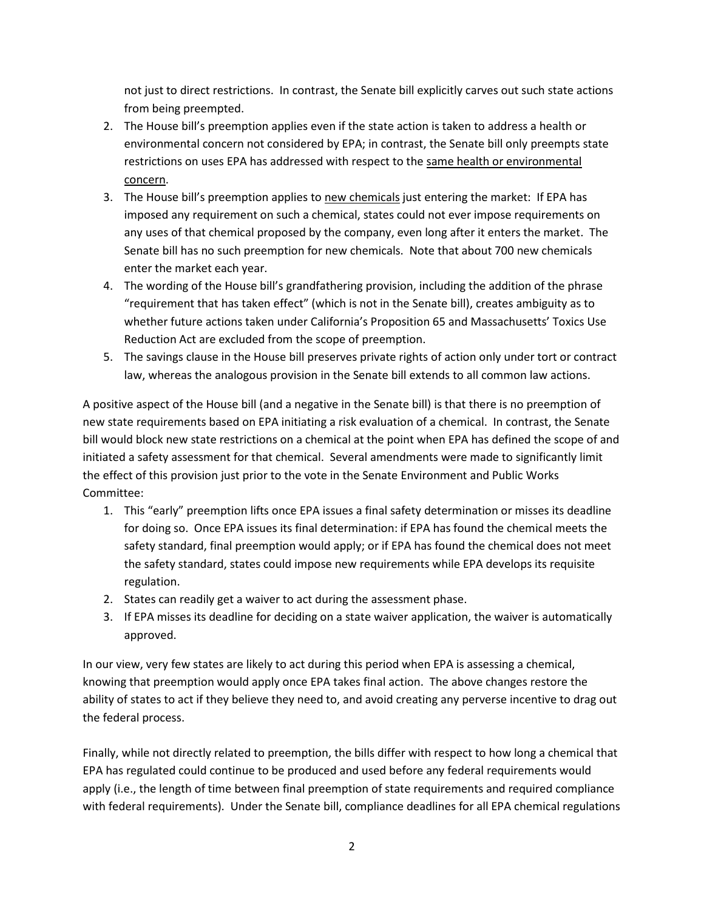not just to direct restrictions. In contrast, the Senate bill explicitly carves out such state actions from being preempted.

- 2. The House bill's preemption applies even if the state action is taken to address a health or environmental concern not considered by EPA; in contrast, the Senate bill only preempts state restrictions on uses EPA has addressed with respect to the same health or environmental concern.
- 3. The House bill's preemption applies to new chemicals just entering the market: If EPA has imposed any requirement on such a chemical, states could not ever impose requirements on any uses of that chemical proposed by the company, even long after it enters the market. The Senate bill has no such preemption for new chemicals. Note that about 700 new chemicals enter the market each year.
- 4. The wording of the House bill's grandfathering provision, including the addition of the phrase "requirement that has taken effect" (which is not in the Senate bill), creates ambiguity as to whether future actions taken under California's Proposition 65 and Massachusetts' Toxics Use Reduction Act are excluded from the scope of preemption.
- 5. The savings clause in the House bill preserves private rights of action only under tort or contract law, whereas the analogous provision in the Senate bill extends to all common law actions.

A positive aspect of the House bill (and a negative in the Senate bill) is that there is no preemption of new state requirements based on EPA initiating a risk evaluation of a chemical. In contrast, the Senate bill would block new state restrictions on a chemical at the point when EPA has defined the scope of and initiated a safety assessment for that chemical. Several amendments were made to significantly limit the effect of this provision just prior to the vote in the Senate Environment and Public Works Committee:

- 1. This "early" preemption lifts once EPA issues a final safety determination or misses its deadline for doing so. Once EPA issues its final determination: if EPA has found the chemical meets the safety standard, final preemption would apply; or if EPA has found the chemical does not meet the safety standard, states could impose new requirements while EPA develops its requisite regulation.
- 2. States can readily get a waiver to act during the assessment phase.
- 3. If EPA misses its deadline for deciding on a state waiver application, the waiver is automatically approved.

In our view, very few states are likely to act during this period when EPA is assessing a chemical, knowing that preemption would apply once EPA takes final action. The above changes restore the ability of states to act if they believe they need to, and avoid creating any perverse incentive to drag out the federal process.

Finally, while not directly related to preemption, the bills differ with respect to how long a chemical that EPA has regulated could continue to be produced and used before any federal requirements would apply (i.e., the length of time between final preemption of state requirements and required compliance with federal requirements). Under the Senate bill, compliance deadlines for all EPA chemical regulations